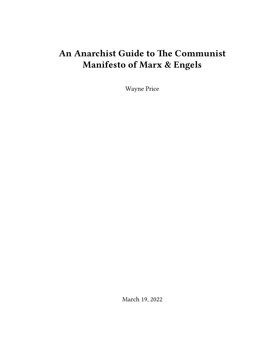# **An Anarchist Guide to The Communist Manifesto of Marx & Engels**

Wayne Price

March 19, 2022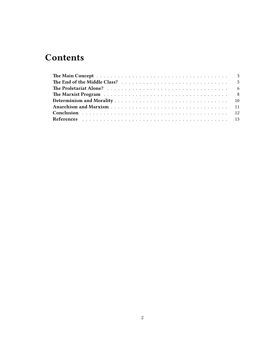# **Contents**

| The Marxist Program resources in the contract of the Marxist Program resources in the set of the Marxist Program |  |  |  |  |  |  |  |  |  |  |  |  |  |  |
|------------------------------------------------------------------------------------------------------------------|--|--|--|--|--|--|--|--|--|--|--|--|--|--|
|                                                                                                                  |  |  |  |  |  |  |  |  |  |  |  |  |  |  |
|                                                                                                                  |  |  |  |  |  |  |  |  |  |  |  |  |  |  |
|                                                                                                                  |  |  |  |  |  |  |  |  |  |  |  |  |  |  |
|                                                                                                                  |  |  |  |  |  |  |  |  |  |  |  |  |  |  |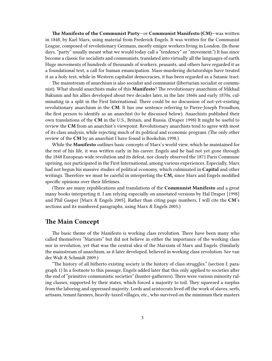**The Manifesto of the Communist Party**—or **Communist Manifesto (CM)**—was written in 1848, by Karl Marx, using material from Frederick Engels. It was written for the Communist League, composed of revolutionary Germans, mostly emigre workers living in London. (In those days, "party" usually meant what we would today call a "tendency" or "movement.") It has since become a classic for socialists and communists, translated into virtually all the languages of earth. Huge movements of hundreds of thousands of workers, peasants, and others have regarded it as a foundational text, a call for human emancipation. Mass-murdering dictatorships have treated it as a holy text, while in Western capitalist democracies, it has been regarded as a Satanic tract.

The mainstream of anarchism is also socialist and communist (libertarian socialist or communist). What should anarchists make of this **Manifesto**? The revolutionary anarchism of Mikhail Bakunin and his allies developed about two decades later, in the late 1860s and early 1870s, culminating in a split in the First International. There could be no discussion of not-yet-existing revolutionary anarchism in the **CM**. It has one sentence referring to Pierre-Joseph Proudhon, the first person to identify as an anarchist (to be discussed below). Anarchists published their own translations of the **CM** in the U.S., Britain, and Russia. (Draper 1998) It might be useful to review the **CM** from an anarchist's viewpoint. Revolutionary anarchists tend to agree with most of its class analysis, while rejecting much of its political and economic program. (The only other review of the **CM** by an anarchist I have found is Bookchin 1998.)

While the **Manifesto** outlines basic concepts of Marx's world view, which he maintained for the rest of his life, it was written early in his career. Engels and he had not yet gone through the 1848 European-wide revolution and its defeat, nor closely observed the 1871 Paris Commune uprising, nor participated in the First International, among various experiences. Especially, Marx had not begun his massive studies of political economy, which culminated in **Capital** and other writings. Therefore we must be careful in interpreting the **CM,** since Marx and Engels modified specific opinions over their lifetimes.

(There are many republications and translations of the **Communist Manifesto** and a great many books interpreting it. I am relying especially on annotated versions by Hal Draper [1998] and Phil Gasper [Marx & Engels 2005]. Rather than citing page numbers, I will cite the **CM**'s sections and its numbered paragraphs, using Marx & Engels 2005.)

## <span id="page-2-0"></span>**The Main Concept**

The basic theme of the Manifesto is working class revolution. There have been many who called themselves "Marxists" but did not believe in either the importance of the working class nor in revolution, yet that was the central idea of the Marxism of Marx and Engels. (Similarly the mainstream of anarchism, as it later developed, believed in working class revolution. See van der Walt & Schmidt 2009.)

"The history of all hitherto existing society is the history of class struggles." (section I; paragraph 1) In a footnote to this passage, Engels added later that this only applied to societies after the end of "primitive communistic societies" (hunter-gatherers). There were various minority ruling classes, supported by their states, which forced a majority to toil. They squeezed a surplus from the laboring and oppressed majority. Lords and aristocrats lived off the work of slaves, serfs, artisans, tenant farmers, heavily-taxed villages, etc., who survived on the minimum their masters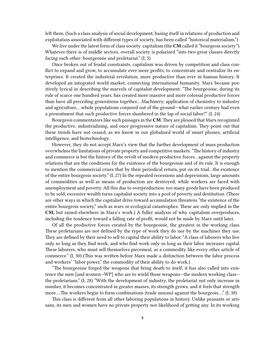left them. (Such a class analysis of social development, basing itself in relations of production and exploitation associated with different types of society, has been called "historical materialism.")

We live under the latest form of class society: capitalism (the **CM** called it "bourgeois society"). Whatever there is of middle sectors, overall society is polarized "into two great classes directly facing each other: bourgeoisie and proletariat." (I; 5)

Once broken out of feudal constraints, capitalism was driven by competition and class conflict to expand and grow, to accumulate ever more profits, to concentrate and centralize its enterprises. It created the industrial revolution, more productive than ever in human history. It developed an integrated world market, connecting international humanity. Marx became positively lyrical in describing the marvels of capitalist development. "The bourgeoisie, during its rule of scarce one hundred years, has created more massive and more colossal productive forces than have all preceding generations together.…Machinery, application of chemistry to industry and agriculture,…whole populations conjured out of the ground—what earlier century had even a presentment that such productive forces slumbered in the lap of social labor?" (I; 24)

Bourgeois commentators like such passages in the **CM**.They are pleased that Marx recognized the productive, industrializing, and once progressive nature of capitalism. They point out that these trends have not ceased, as we know in our globalized world of smart phones, artificial intelligence, and biotechnology.

However, they do not accept Marx's view that the further development of mass production overwhelms the limitations of private property and competitive markets. "The history of industry and commerce is but the history of the revolt of modern productive forces…against the property relations that are the conditions for the existence of the bourgeoisie and of its rule. It is enough to mention the commercial crises that by their periodical return, put on its trial…the existence of the entire bourgeois society." (I; 27) In the repeated recessions and depressions, large amounts of commodities as well as means of production are destroyed, while workers are faced with unemployment and poverty. All this due to overproduction: too many goods have been produced to be sold; excessive wealth turns capitalist society into a pool of poverty and destitution. (There are other ways in which the capitalist drive toward accumulation threatens "the existence of the entire bourgeois society," such as wars or ecological catastrophes. These are only implied in the **CM,** but raised elsewhere in Marx's work.) A fuller analysis of why capitalism overproduces, including the tendency toward a falling rate of profit, would not be made by Marx until later.

Of all the productive forces created by the bourgeoisie, the greatest in the working class. These proletarians are not defined by the type of work they do nor by the machines they use. They are defined by their need to sell to capital their ability to labor. "A class of laborers who live only so long as they find work, and who find work only so long as their labor increases capital. These laborers, who must sell themselves piecemeal, as a commodity like every other article of commerce." (I; 30) (This was written before Marx made a distinction between the labor process and workers' "labor power," the commodity of their ability to do work.)

"The bourgeoisie forged the weapons that bring death to itself; it has also called into existence the men [and women—WP] who are to wield those weapons—the modern working class the proletarians." (I; 28) "With the development of industry, the proletariat not only increase in number, it becomes concentrated in greater masses, its strength grows, and it feels that strength more….The workers begin to form combinations (trade unions) against the bourgeois…." (I; 38)

This class is different from all other laboring populations in history. Unlike peasants or artisans, its men and women have no private property nor likelihood of getting any. In its working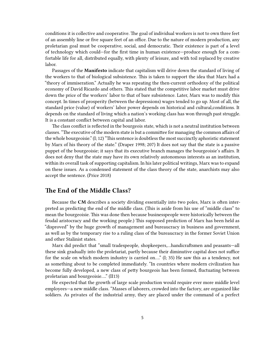conditions it is collective and cooperative. The goal of individual workers is not to own three feet of an assembly line or five square feet of an office. Due to the nature of modern production, any proletarian goal must be cooperative, social, and democratic. Their existence is part of a level of technology which could—for the first time in human existence—produce enough for a comfortable life for all, distributed equally, with plenty of leisure, and with toil replaced by creative labor.

Passages of the **Manifesto** indicate that capitalism will drive down the standard of living of the workers to that of biological subsistence. This is taken to support the idea that Marx had a "theory of immiseration." Actually he was repeating the then-current orthodoxy of the political economy of David Ricardo and others. This stated that the competitive labor market must drive down the price of the workers' labor to that of bare subsistence. Later, Marx was to modify this concept. In times of prosperity (between the depressions) wages tended to go up. Most of all, the standard price (value) of workers' labor power depends on historical and cultural,conditions. It depends on the standard of living which a nation's working class has won through past struggle. It is a constant conflict between capital and labor.

The class conflict is reflected in the bourgeois state, which is not a neutral institution between classes. "The executive of the modern state is but a committee for managing the common affairs of the whole bourgeoisie." (I; 12) "This sentence is doubtless the most succinctly aphoristic statement by Marx of his theory of the state." (Draper 1998; 207) It does not say that the state is a passive puppet of the bourgeoisie; it says that its executive branch manages the bourgeoisie's affairs. It does not deny that the state may have its own relatively autonomous interests as an institution, within its overall task of supporting capitalism. In his later political writings, Marx was to expand on these issues. As a condensed statement of the class theory of the state, anarchists may also accept the sentence. (Price 2018)

## <span id="page-4-0"></span>**The End of the Middle Class?**

Because the **CM** describes a society dividing essentially into two poles, Marx is often interpreted as predicting the end of the middle class. (This is aside from his use of "middle class" to mean the bourgeoisie. This was done then because businesspeople were historically between the feudal aristocracy and the working people.) This supposed prediction of Marx has been held as "disproved" by the huge growth of management and bureaucracy in business and government, as well as by the temporary rise to a ruling class of the bureaucracy in the former Soviet Union and other Stalinist states.

Marx did predict that "small tradespeople, shopkeepers,…handicraftsmen and peasants—all these sink gradually into the proletariat, partly because their diminutive capital does not suffice for the scale on which modern industry is carried on…." (I; 35) He saw this as a tendency, not as something about to be completed immediately. "In countries where modern civilization has become fully developed, a new class of petty bourgeois has been formed, fluctuating between proletarian and bourgeoisie…." (II13)

He expected that the growth of large scale production would require ever more middle level employees—a new middle class. "Masses of laborers, crowded into the factory, are organized like soldiers. As privates of the industrial army, they are placed under the command of a perfect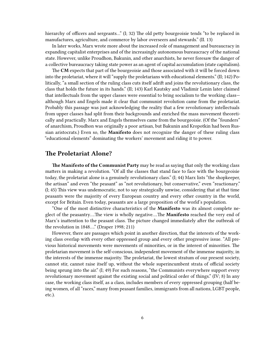hierarchy of officers and sergeants..." (I; 32) The old petty bourgeoisie tends "to be replaced in manufactures, agriculture, and commerce by labor overseers and stewards." (II. 13)

In later works, Marx wrote more about the increased role of management and bureaucracy in expanding capitalist enterprises and of the increasingly autonomous bureaucracy of the national state. However, unlike Proudhon, Bakunin, and other anarchists, he never foresaw the danger of a collective bureaucracy taking state power as an agent of capital accumulation (state capitalism).

The **CM** expects that part of the bourgeoisie and those associated with it will be forced down into the proletariat, where it will "supply the proletarians with educational elements." (II; 142) Politically, "a small section of the ruling class cuts itself adrift and joins the revolutionary class, the class that holds the future in its hands." (II; 143) Karl Kautsky and Vladimir Lenin later claimed that intellectuals from the upper classes were essential to bring socialism to the working class although Marx and Engels made it clear that communist revolution came from the proletariat. Probably this passage was just acknowledging the reality that a few revolutionary intellectuals from upper classes had split from their backgrounds and enriched the mass movement theoretically and practically. Marx and Engels themselves came from the bourgeoisie. (Of the "founders" of anarchism, Proudhon was originally a poor artisan, but Bakunin and Kropotkin had been Russian aristocrats.) Even so, the **Manifesto** does not recognize the danger of these ruling class "educational elements" dominating the workers' movement and riding it to power.

## <span id="page-5-0"></span>**The Proletariat Alone?**

**The Manifesto of the Communist Party** may be read as saying that only the working class matters in making a revolution. "Of all the classes that stand face to face with the bourgeoisie today, the proletariat alone is a genuinely revolutionary class." (I; 44) Marx lists "the shopkeeper, the artisan" and even "the peasant" as "not revolutionary, but conservative," even "reactionary." (I; 45) This view was undemocratic, not to say strategically unwise, considering that at that time peasants were the majority of every European country and every other country in the world, except for Britain. Even today, peasants are a large proposition of the world's population.

"One of the most distinctive characteristics of the **Manifesto** was its almost complete neglect of the peasantry….The view is wholly negative….The **Manifesto** reached the very end of Marx's inattention to the peasant class. The picture changed immediately after the outbreak of the revolution in 1848…." (Draper 1998; 211)

However, there are passages which point in another direction, that the interests of the working class overlap with every other oppressed group and every other progressive issue. "All previous historical movements were movements of minorities, or in the interest of minorities. The proletarian movement is the self-conscious, independent movement of the immense majority, in the interests of the immense majority. The proletariat, the lowest stratum of our present society, cannot stir, cannot raise itself up, without the whole superincumbent strata of official society being sprung into the air." (I; 49) For such reasons, "the Communists everywhere support every revolutionary movement against the existing social and political order of things."  $(IV; 8)$  In any case, the working class itself, as a class, includes members of every oppressed grouping (half being women, of all "races," many from peasant families, immigrants from all nations, LGBT people, etc.).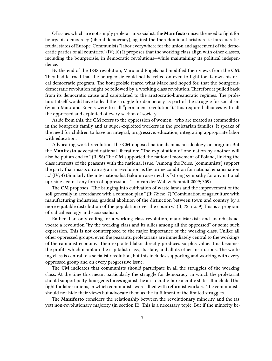Of issues which are not simply proletarian-socialist, the **Manifesto** raises the need to fight for bourgeois-democracy (liberal democracy), against the then-dominant aristocratic-bureaucraticfeudal states of Europe. Communists "labor everywhere for the union and agreement of the democratic parties of all countries." (IV; 10) It proposes that the working class align with other classes, including the bourgeoisie, in democratic revolutions—while maintaining its political independence.

By the end of the 1848 revolution, Marx and Engels had modified their views from the **CM**. They had learned that the bourgeoisie could not be relied on even to fight for its own historical democratic program. The bourgeoisie feared what Marx had hoped for, that the bourgeoisdemocratic revolution might be followed by a working class revolution. Therefore it pulled back from its democratic cause and capitulated to the aristocratic-bureaucratic regimes. The proletariat itself would have to lead the struggle for democracy as part of the struggle for socialism (which Marx and Engels were to call "permanent revolution"). This required alliances with all the oppressed and exploited of every section of society.

Aside from this, the **CM** refers to the oppression of women—who are treated as commodities in the bourgeois family and as super-exploited workers in the proletarian families. It speaks of the need for children to have an integral, progressive, education, integrating appropriate labor with education.

Advocating world revolution, the **CM** opposed nationalism as an ideology or program But the **Manifesto** advocated national liberation: "The exploitation of one nation by another will also be put an end to." (II; 56) The **CM** supported the national movement of Poland, linking the class interests of the peasants with the national issue. "Among the Poles, [communists] support the party that insists on an agrarian revolution as the prime condition for national emancipation …." (IV; 4) (Similarly the internationalist Bakunin asserted his "strong sympathy for any national uprising against any form of oppression…"—in van der Walt & Schmidt 2009; 309)

The **CM** proposes, "The bringing into cultivation of waste lands and the improvement of the soil generally in accordance with a common plan." (II; 72; no. 7) "Combination of agriculture with manufacturing industries; gradual abolition of the distinction between town and country by a more equitable distribution of the population over the country." (II; 72; no. 9) This is a program of radical ecology and ecosocialism.

Rather than only calling for a working class revolution, many Marxists and anarchists advocate a revolution "by the working class and its allies among all the oppressed" or some such expression. This is not counterposed to the major importance of the working class. Unlike all other oppressed groups, even the peasants, proletarians are immediately central to the workings of the capitalist economy. Their exploited labor directly produces surplus value. This becomes the profits which maintain the capitalist class, its state, and all its other institutions. The working class is central to a socialist revolution, but this includes supporting and working with every oppressed group and on every progressive issue.

The **CM** indicates that communists should participate in all the struggles of the working class. At the time this meant particularly the struggle for democracy, in which the proletariat should support petty-bourgeois forces against the aristocratic-bureaucratic states. It included the fight for labor unions, in which communists were allied with reformist workers. The communists should not hide their views but advocate them as the fulfillment of the limited struggles.

The **Manifesto** considers the relationship between the revolutionary minority and the (as yet) non-revolutionary majority (in section II). This is a necessary topic. But if the minority be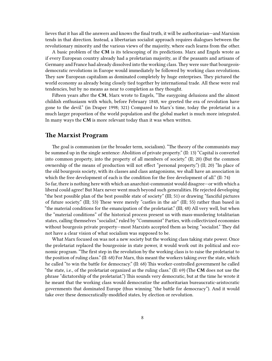lieves that it has all the answers and knows the final truth, it will be authoritarian—and Marxism tends in that direction. Instead, a libertarian socialist approach requires dialogues between the revolutionary minority and the various views of the majority, where each learns from the other.

A basic problem of the **CM** is its telescoping of its predictions. Marx and Engels wrote as if every European country already had a proletarian majority, as if the peasants and artisans of Germany and France had already dissolved into the working class. They were sure that bourgeoisdemocratic revolutions in Europe would immediately be followed by working class revolutions. They saw European capitalism as dominated completely by huge enterprises. They pictured the world economy as already being closely tied together by international trade. All these were real tendencies, but by no means as near to completion as they thought.

Fifteen years after the **CM**, Marx wrote to Engels, "The easygoing delusions and the almost childish enthusiasm with which, before February 1848, we greeted the era of revolution have gone to the devil." (in Draper 1998; 321) Compared to Marx's time, today the proletariat is a much larger proportion of the world population and the global market is much more integrated. In many ways the **CM** is more relevant today than it was when written.

# <span id="page-7-0"></span>**The Marxist Program**

The goal is communism (or the broader term, socialism). "The theory of the communists may be summed up in the single sentence: Abolition of private property." (II: 13) "Capital is converted into common property, into the property of all members of society." (II; 20) (But the common ownership of the means of production will not effect "personal property.") (II; 20) "In place of the old bourgeois society, with its classes and class antagonisms, we shall have an association in which the free development of each is the condition for the free development of all." (II: 74)

So far, there is nothing here with which an anarchist-communist would disagree—or with which a liberal could agree! But Marx never went much beyond such generalities. He rejected developing "the best possible plan of the best possible state of society" (III; 51) or drawing "fanciful pictures of future society." (III; 53) These were merely "castles in the air" (III; 55) rather than based in "the material conditions for the emancipation of the proletariat." (III; 48) All very well, but when the "material conditions" of the historical process present us with mass-murdering totalitarian states, calling themselves "socialist," ruled by "Communist" Parties, with collectivized economies without bourgeois private property—most Marxists accepted them as being "socialist." They did not have a clear vision of what socialism was supposed to be.

What Marx focused on was not a new society but the working class taking state power. Once the proletariat replaced the bourgeoisie in state power, it would work out its political and economic program. "The first step in the revolution by the working class is to raise the proletariat to the position of ruling class." (II: 68) For Marx, this meant the workers taking over the state, which he called "to win the battle for democracy." (II: 68) This worker-controlled government he called "the state, i.e., of the proletariat organized as the ruling class." (II: 69) (The **CM** does not use the phrase "dictatorship of the proletariat.") This sounds very democratic, but at the time he wrote it he meant that the working class would democratize the authoritarian bureaucratic-aristocratic governments that dominated Europe (thus winning "the battle for democracy"). And it would take over these democratically-modified states, by election or revolution.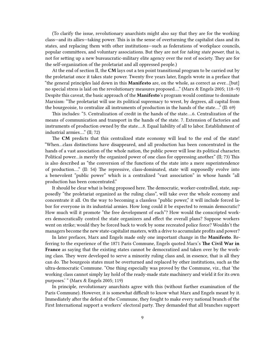(To clarify the issue, revolutionary anarchists might also say that they are for the working class—and its allies—taking power. This is in the sense of overturning the capitalist class and its states, and replacing them with other institutions—such as federations of workplace councils, popular committees, and voluntary associations. But they are not for *taking state power*, that is, not for setting up a new bureaucratic-military elite agency over the rest of society. They are for the self-organization of the proletariat and all oppressed people.)

At the end of section II, the **CM** lays out a ten point transitional program to be carried out by the proletariat once it takes state power. Twenty five years later, Engels wrote in a preface that "the general principles laid down in this **Manifesto** are, on the whole, as correct as ever…[but] no special stress is laid on the revolutionary measures proposed…." (Marx & Engels 2005; 118–9) Despite this caveat, the basic approach of the **Manifesto**'s program would continue to dominate Marxism: "The proletariat will use its political supremacy to wrest, by degrees, all capital from the bourgeoisie, to centralize all instruments of production in the hands of the state…." (II: 69)

This includes: "5. Centralization of credit in the hands of the state….6. Centralization of the means of communication and transport in the hands of the state. 7. Extension of factories and instruments of production owned by the state….8. Equal liability of all to labor. Establishment of industrial armies…." (II; 72)

The **CM** predicts that this centralized state economy will lead to the end of the state! "When…class distinctions have disappeared, and all production has been concentrated in the hands of a vast association of the whole nation, the public power will lose its political character. Political power…is merely the organized power of one class for oppressing another." (II; 73) This is also described as "the conversion of the functions of the state into a mere superintendence of production…." (II: 54) The repressive, class-dominated, state will supposedly evolve into a benevolent "public power" which is a centralized "vast association" in whose hands "all production has been concentrated."

It should be clear what is being proposed here. The democratic, worker-controlled, state, supposedly "the proletariat organized as the ruling class", will take over the whole economy and concentrate it all. On the way to becoming a classless "public power," it will include forced labor for everyone in its industrial armies. How long could it be expected to remain democratic? How much will it promote "the free development of each"? How would the conscripted workers democratically control the state organizers and effect the overall plans? Suppose workers went on strike; would they be forced back to work by some recreated police force? Wouldn't the managers become the new state-capitalist masters, with a drive to accumulate profits and power?

In later prefaces, Marx and Engels made only one important change in the **Manifesto**. Referring to the experience of the 1871 Paris Commune, Engels quoted Marx's **The Civil War in France** as saying that the existing states cannot be democratized and taken over by the working class. They were developed to serve a minority ruling class and, in essence, that is all they can do. The bourgeois states must be overturned and replaced by other institutions, such as the ultra-democratic Commune. "One thing especially was proved by the Commune, viz., that 'the working class cannot simply lay hold of the ready-made state machinery and wield it for its own purposes.' " (Marx & Engels 2005; 119)

In principle, revolutionary anarchists agree with this (without further examination of the Paris Commune). However, it is somewhat difficult to know what Marx and Engels meant by it. Immediately after the defeat of the Commune, they fought to make every national branch of the First International support a workers' electoral party. They demanded that all branches support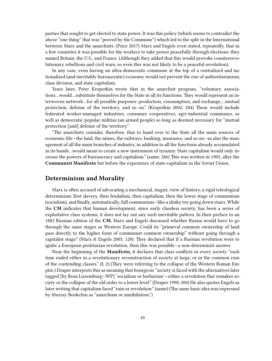parties that sought to get elected to state power. It was this policy (which seems to contradict the above "one thing" that was "proved by the Commune") which led to the split in the International between Marx and the anarchists. (Price 2017) Marx and Engels even stated, repeatedly, that in a few countries it was possible for the workers to take power peacefully through elections; they named Britain, the U.S., and France. (Although they added that this would provoke counterrevolutionary rebellions and civil wars; so even this was not likely to be a peaceful revolution).

In any case, even having an ultra-democratic commune at the top of a centralized and nationalized (and inevitably bureaucratic) economy would not prevent the rise of authoritarianism, class division, and state capitalism.

Years later, Peter Kropotkin wrote that in the anarchist program, "voluntary associations…would…substitute themselves for the State in all its functions. They would represent an interwoven network…for all possible purposes: production, consumption, and exchange,…mutual protection, defense of the territory, and so on." (Kropotkin 2002; 284) These would include federated worker-managed industries, consumer cooperatives, agri-industrial communes, as well as democratic popular militias (an armed people) so long as deemed necessary for "mutual protection [and] defense of the territory."

"The anarchists consider, therefore, that to hand over to the State all the main sources of economic life—the land, the mines, the railways, banking, insurance, and so on—as also the management of all the main branches of industry, in addition to all the functions already accumulated in its hands…would mean to create a new instrument of tyranny. State capitalism would only increase the powers of bureaucracy and capitalism." (same; 286) This was written in 1905, after the **Communist Manifesto** but before the experience of state-capitalism in the Soviet Union.

## <span id="page-9-0"></span>**Determinism and Morality**

Marx is often accused of advocating a mechanical, stagist, view of history, a rigid teleological determinism: first slavery, then feudalism, then capitalism, then the lower stage of communism (socialism), and finally, automatically, full communism—like a slinky toy going down stairs. While the **CM** indicates that human development, since early classless society, has been a series of exploitative class systems, it does not lay out any such inevitable pattern. In their preface to an 1882 Russian edition of the **CM**, Marx and Engels discussed whether Russia would have to go through the same stages as Western Europe. Could its "primeval common ownership of land pass directly to the higher form of communist common ownership" without going through a capitalist stage? (Marx & Engels 2005; 120). They declared that if a Russian revolution were to ignite a European proletarian revolution, then this was possible—a non-determinist answer.

Near the beginning of the **Manifesto,** it declares that class conflicts in every society "each time ended either in a revolutionary reconstruction of society at large, or in the common ruin of the contending classes." (I; 2) (They were referring to the collapse of the Western Roman Empire.) Draper interprets this as meaning that bourgeois "society is faced with the alternatives later tagged [by Rosa Luxemburg—WP] 'socialism or barbarism'—either a revolution that remakes society or the collapse of the old order to a lower level." (Draper 1998; 200) He also quotes Engels as later writing that capitalism faced "ruin or revolution." (same) (The same basic idea was expressed by Murray Bookchin as "anarchism or annihilation.")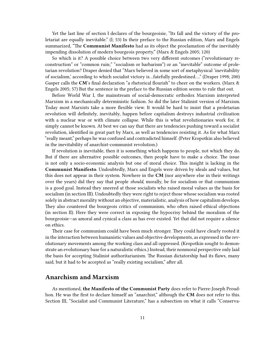Yet the last line of section I declares of the bourgeoisie, "Its fall and the victory of the proletariat are equally inevitable." (I; 53) In their preface to the Russian edition, Marx and Engels summarized, "The **Communist Manifesto** had as its object the proclamation of the inevitably impending dissolution of modern bourgeois property." (Marx & Engels 2005; 120)

So which is it? A possible choice between two very different outcomes ("revolutionary reconstruction" or "common ruin;" "socialism or barbarism") or an "inevitable" outcome of proletarian revolution? Draper denied that "Marx believed in some sort of metaphysical 'inevitability of socialism,' according to which socialist victory is…fatefully predestined…." (Draper 1998; 200) Gasper calls the **CM**'s final declaration "a rhetorical flourish" to cheer on the workers. (Marx & Engels 2005; 57) But the sentence in the preface to the Russian edition seems to rule that out.

Before World War I, the mainstream of social-democratic orthodox Marxism interpreted Marxism in a mechanically deterministic fashion. So did the later Stalinist version of Marxism. Today most Marxists take a more flexible view. It would be hard to insist that a proletarian revolution will definitely, inevitably, happen before capitalism destroys industrial civilization with a nuclear war or with climate collapse. While this is what revolutionaries work for, it simply cannot be known. At best we can say that there are tendencies pushing toward a socialist revolution, identified in great part by Marx, as well as tendencies resisting it. As for what Marx "really meant," perhaps he was confused and contradicted himself. (Peter Kropotkin also believed in the inevitability of anarchist-communist revolution.)

If revolution is inevitable, then it is something which happens to people, not which they do. But if there are alternative possible outcomes, then people have to make a choice. The issue is not only a socio-economic analysis but one of moral choice. This insight is lacking in the **Communist Manifesto**. Undoubtedly, Marx and Engels were driven by ideals and values, but this does not appear in their system. Nowhere in the **CM** (nor anywhere else in their writings over the years) did they say that people *should*, morally, be for socialism or that communism is a good goal. Instead they sneered at those socialists who raised moral values as the basis for socialism (in section III). Undoubtedly they were right to reject those whose socialism was rooted solely in abstract morality without an objective, materialistic, analysis of how capitalism develops. They also countered the bourgeois critics of communism, who often raised ethical objections (in section II). Here they were correct in exposing the hypocrisy behind the moralism of the bourgeoisie—as amoral and cynical a class as has ever existed. Yet that did not require a silence on ethics.

Their case for communism could have been much stronger. They could have clearly rooted it in the interaction between humanistic values and objective developments, as expressed in the revolutionary movements among the working class and all oppressed. (Kropotkin sought to demonstrate an evolutionary base for a naturalistic ethics.) Instead, their nonmoral perspective only laid the basis for accepting Stalinist authoritarianism. The Russian dictatorship had its flaws, many said, but it had to be accepted as "really existing socialism," after all.

#### <span id="page-10-0"></span>**Anarchism and Marxism**

As mentioned, **the Manifesto of the Communist Party** does refer to Pierre-Joseph Proudhon. He was the first to declare himself an "anarchist," although the **CM** does not refer to this. Section III, "Socialist and Communist Literature," has a subsection on what it calls "Conserva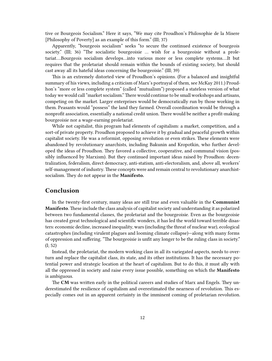tive or Bourgeois Socialism." Here it says, "We may cite Proudhon's Philosophie de la Misere [Philosophy of Poverty] as an example of this form." (III; 37)

Apparently, "bourgeois socialism" seeks "to secure the continued existence of bourgeois society." (III; 36) "The socialistic bourgeoisie ... wish for a bourgeoisie without a proletariat….Bourgeois socialism develops…into various more or less complete systems….It but requires that the proletariat should remain within the bounds of existing society, but should cast away all its hateful ideas concerning the bourgeoisie." (III; 39)

This is an extremely distorted view of Proudhon's opinions. (For a balanced and insightful summary of his views, including a criticism of Marx's portrayal of them, see McKay 2011.) Proudhon's "more or less complete system" (called "mutualism") proposed a stateless version of what today we would call "market socialism."There would continue to be small workshops and artisans, competing on the market. Larger enterprises would be democratically run by those working in them. Peasants would "possess" the land they farmed. Overall coordination would be through a nonprofit association, essentially a national credit union. There would be neither a profit-making bourgeoisie nor a wage-earning proletariat.

While not capitalist, this program had elements of capitalism: a market, competition, and a sort-of private property. Proudhon proposed to achieve it by gradual and peaceful growth within capitalist society. He was a reformist, opposing revolution or even strikes. These elements were abandoned by revolutionary anarchists, including Bakunin and Kropotkin, who further developed the ideas of Proudhon. They favored a collective, cooperative, and communal vision (possibly influenced by Marxism). But they continued important ideas raised by Proudhon: decentralization, federalism, direct democracy, anti-statism, anti-electoralism, and, above all, workers' self-management of industry. These concepts were and remain central to revolutionary anarchistsocialism. They do not appear in the **Manifesto.**

# <span id="page-11-0"></span>**Conclusion**

In the twenty-first century, many ideas are still true and even valuable in the **Communist Manifesto**. These include the class analysis of capitalist society and understanding it as polarized between two fundamental classes, the proletariat and the bourgeoisie. Even as the bourgeoisie has created great technological and scientific wonders, it has led the world toward terrible disasters: economic decline, increased inequality, wars (including the threat of nuclear war), ecological catastrophes (including virulent plagues and looming climate collapse)—along with many forms of oppression and suffering. "The bourgeoisie is unfit any longer to be the ruling class in society." (I; 52)

Instead, the proletariat, the modern working class in all its variegated aspects, needs to overturn and replace the capitalist class, its state, and its other institutions. It has the necessary potential power and strategic location at the heart of capitalism. But to do this, it must ally with all the oppressed in society and raise every issue possible, something on which the **Manifesto** is ambiguous.

The **CM** was written early in the political careers and studies of Marx and Engels. They underestimated the resilience of capitalism and overestimated the nearness of revolution. This especially comes out in an apparent certainty in the imminent coming of proletarian revolution.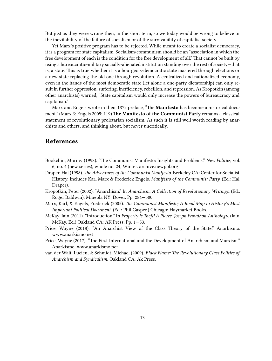But just as they were wrong then, in the short term, so we today would be wrong to believe in the inevitability of the failure of socialism or of the survivability of capitalist society.

Yet Marx's positive program has to be rejected. While meant to create a socialist democracy, it is a program for state capitalism. Socialism/communism should be an "association in which the free development of each is the condition for the free development of all." That cannot be built by using a bureaucratic-military socially-alienated institution standing over the rest of society—that is, a state. This is true whether it is a bourgeois-democratic state mastered through elections or a new state replacing the old one through revolution. A centralized and nationalized economy, even in the hands of the most democratic state (let alone a one-party dictatorship) can only result in further oppression, suffering, inefficiency, rebellion, and repression. As Kropotkin (among other anarchists) warned, "State capitalism would only increase the powers of bureaucracy and capitalism."

Marx and Engels wrote in their 1872 preface, "The **Manifesto** has become a historical document." (Marx & Engels 2005; 119) **The Manifesto of the Communist Party** remains a classical statement of revolutionary proletarian socialism. As such it is still well worth reading by anarchists and others, and thinking about, but never uncritically.

# <span id="page-12-0"></span>**References**

- Bookchin, Murray (1998). "The Communist Manifesto: Insights and Problems." *New Politics*, vol. 6, no. 4 (new series), whole no. 24, Winter. [archive.newpol.org](https://archive.newpol.org/issue24/bookch24.htm)
- Draper, Hal (1998). *The Adventures of the Communist Manifesto*. Berkeley CA: Center for Socialist History. Includes Karl Marx & Frederick Engels. *Manifesto of the Communist Party.* (Ed.: Hal Draper).
- Kropotkin, Peter (2002). "Anarchism." In *Anarchism: A Collection of Revolutionary Writings*. (Ed.: Roger Baldwin). Mineola NY: Dover. Pp. 284—300.
- Marx, Karl, & Engels, Frederick (2005). *The Communist Manifesto; A Road Map to History's Most Important Political Document.* (Ed.: Phil Gasper.) Chicago: Haymarket Books.
- McKay, Iain (2011). "Introduction." In *Property is Theft! A Pierre-Joseph Proudhon Anthology*. (Iain McKay. Ed.) Oakland CA: AK Press. Pp. 1—53.
- Price, Wayne (2018). "An Anarchist View of the Class Theory of the State." Anarkismo. [www.anarkismo.net](https://www.anarkismo.net/article/31082)
- Price, Wayne (2017). "The First International and the Development of Anarchism and Marxism." Anarkismo. [www.anarkismo.net](http://www.anarkismo.net/article/30330)
- van der Walt, Lucien, & Schmidt, Michael (2009). *Black Flame: The Revolutionary Class Politics of Anarchism and Syndicalism*. Oakland CA: Ak Press.